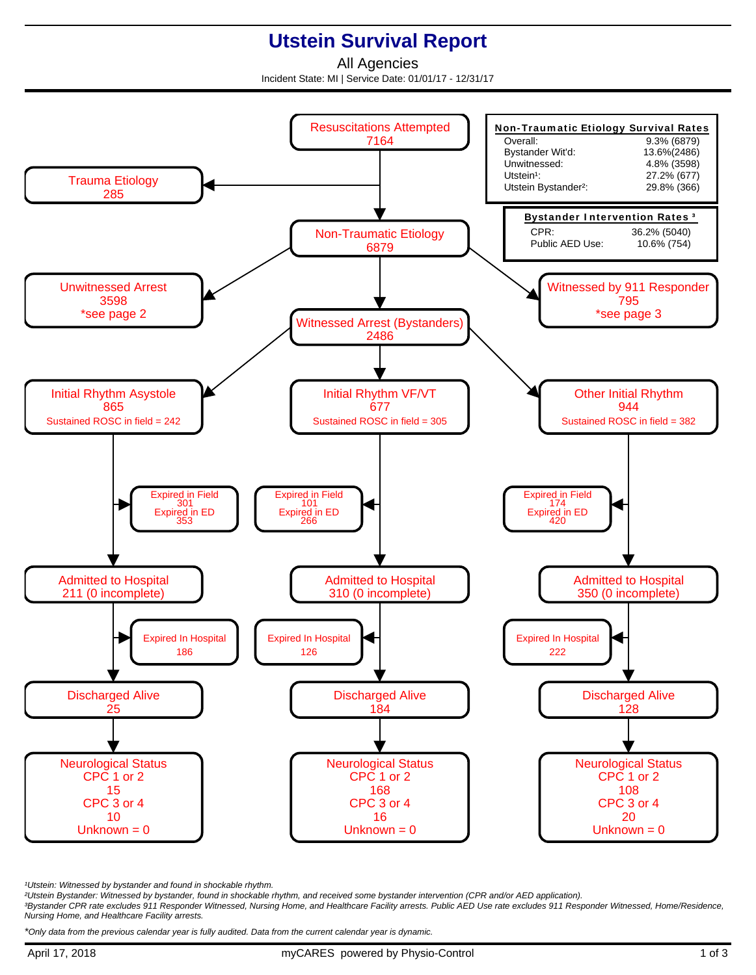## **Utstein Survival Report**

All Agencies Incident State: MI | Service Date: 01/01/17 - 12/31/17



<sup>1</sup>Utstein: Witnessed by bystander and found in shockable rhythm.

²Utstein Bystander: Witnessed by bystander, found in shockable rhythm, and received some bystander intervention (CPR and/or AED application).

³Bystander CPR rate excludes 911 Responder Witnessed, Nursing Home, and Healthcare Facility arrests. Public AED Use rate excludes 911 Responder Witnessed, Home/Residence, Nursing Home, and Healthcare Facility arrests.

\*Only data from the previous calendar year is fully audited. Data from the current calendar year is dynamic.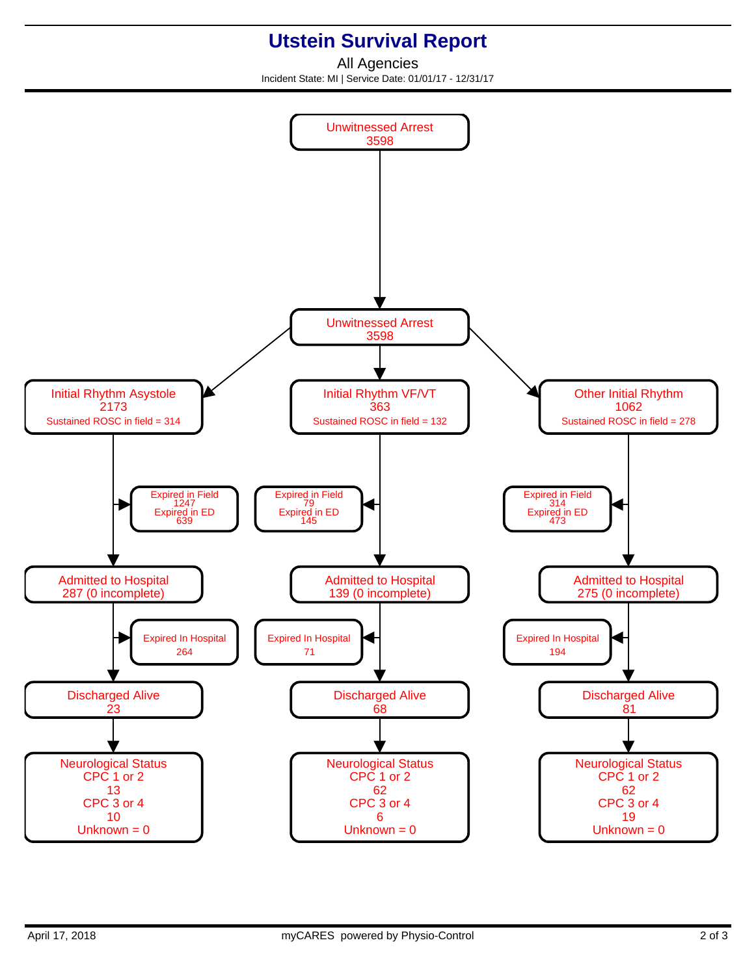## **Utstein Survival Report**

All Agencies Incident State: MI | Service Date: 01/01/17 - 12/31/17